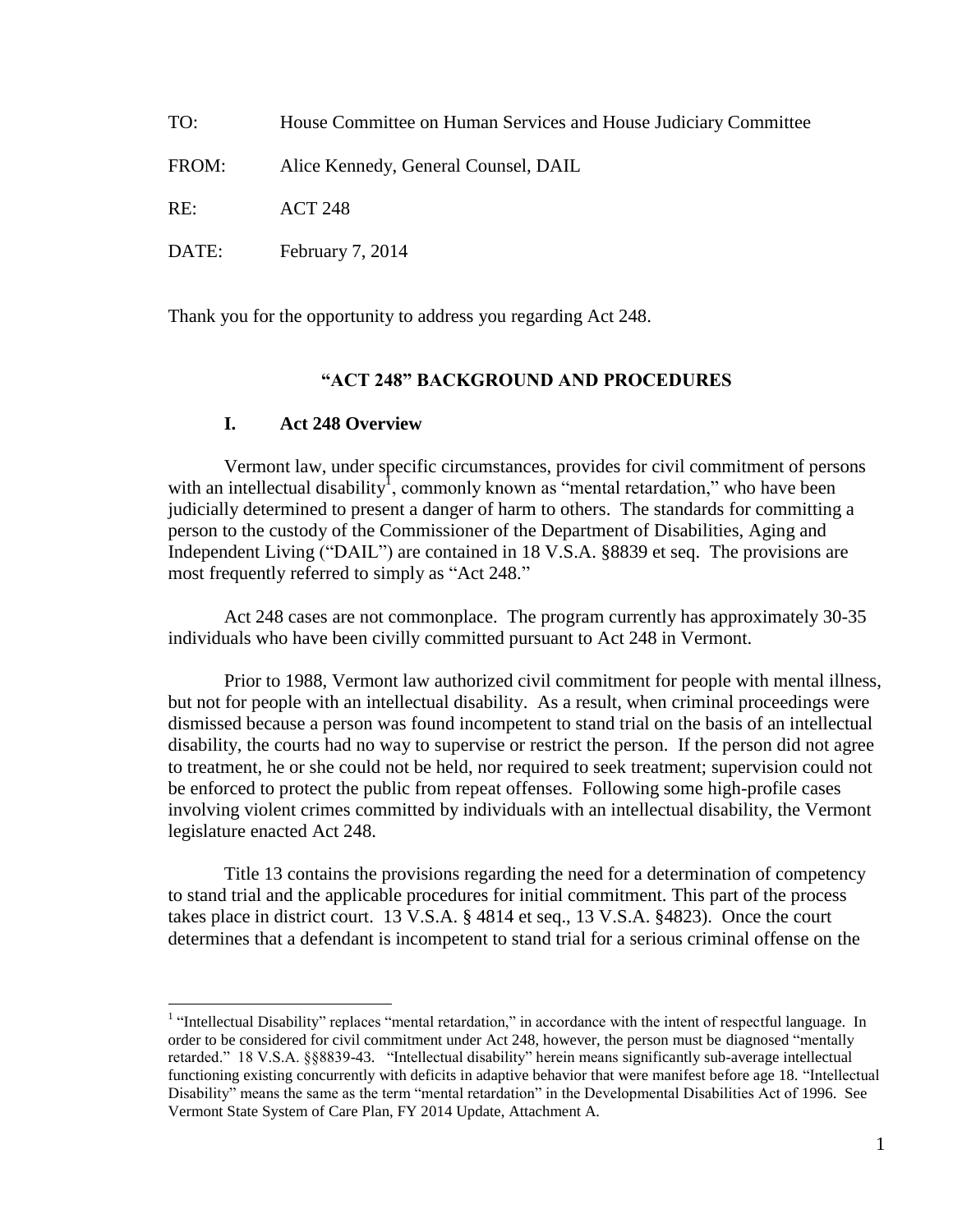| TO:   | House Committee on Human Services and House Judiciary Committee |
|-------|-----------------------------------------------------------------|
| FROM: | Alice Kennedy, General Counsel, DAIL                            |
| RE:   | <b>ACT 248</b>                                                  |
| DATE: | February 7, 2014                                                |

Thank you for the opportunity to address you regarding Act 248.

#### **"ACT 248" BACKGROUND AND PROCEDURES**

#### **I. Act 248 Overview**

 $\overline{a}$ 

Vermont law, under specific circumstances, provides for civil commitment of persons with an intellectual disability<sup>1</sup>, commonly known as "mental retardation," who have been judicially determined to present a danger of harm to others. The standards for committing a person to the custody of the Commissioner of the Department of Disabilities, Aging and Independent Living ("DAIL") are contained in 18 V.S.A. §8839 et seq. The provisions are most frequently referred to simply as "Act 248."

Act 248 cases are not commonplace. The program currently has approximately 30-35 individuals who have been civilly committed pursuant to Act 248 in Vermont.

Prior to 1988, Vermont law authorized civil commitment for people with mental illness, but not for people with an intellectual disability. As a result, when criminal proceedings were dismissed because a person was found incompetent to stand trial on the basis of an intellectual disability, the courts had no way to supervise or restrict the person. If the person did not agree to treatment, he or she could not be held, nor required to seek treatment; supervision could not be enforced to protect the public from repeat offenses. Following some high-profile cases involving violent crimes committed by individuals with an intellectual disability, the Vermont legislature enacted Act 248.

Title 13 contains the provisions regarding the need for a determination of competency to stand trial and the applicable procedures for initial commitment. This part of the process takes place in district court. 13 V.S.A. § 4814 et seq., 13 V.S.A. §4823). Once the court determines that a defendant is incompetent to stand trial for a serious criminal offense on the

<sup>&</sup>lt;sup>1</sup> "Intellectual Disability" replaces "mental retardation," in accordance with the intent of respectful language. In order to be considered for civil commitment under Act 248, however, the person must be diagnosed "mentally retarded." 18 V.S.A. §§8839-43. "Intellectual disability" herein means significantly sub-average intellectual functioning existing concurrently with deficits in adaptive behavior that were manifest before age 18. "Intellectual Disability" means the same as the term "mental retardation" in the Developmental Disabilities Act of 1996. See Vermont State System of Care Plan, FY 2014 Update, Attachment A.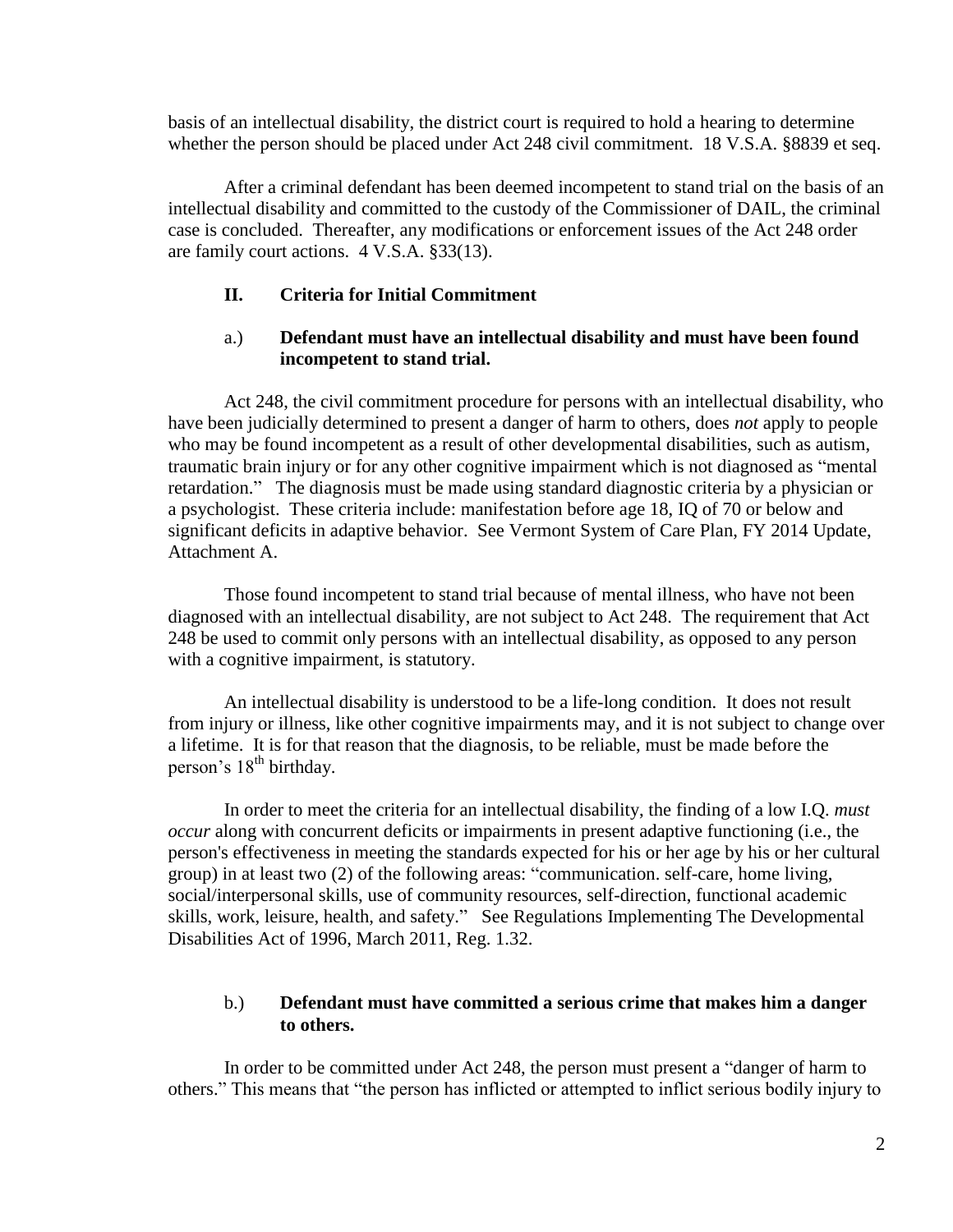basis of an intellectual disability, the district court is required to hold a hearing to determine whether the person should be placed under Act 248 civil commitment. 18 V.S.A. §8839 et seq.

After a criminal defendant has been deemed incompetent to stand trial on the basis of an intellectual disability and committed to the custody of the Commissioner of DAIL, the criminal case is concluded. Thereafter, any modifications or enforcement issues of the Act 248 order are family court actions. 4 V.S.A. §33(13).

## **II. Criteria for Initial Commitment**

## a.) **Defendant must have an intellectual disability and must have been found incompetent to stand trial.**

Act 248, the civil commitment procedure for persons with an intellectual disability, who have been judicially determined to present a danger of harm to others, does *not* apply to people who may be found incompetent as a result of other developmental disabilities, such as autism, traumatic brain injury or for any other cognitive impairment which is not diagnosed as "mental retardation." The diagnosis must be made using standard diagnostic criteria by a physician or a psychologist. These criteria include: manifestation before age 18, IQ of 70 or below and significant deficits in adaptive behavior. See Vermont System of Care Plan, FY 2014 Update, Attachment A.

Those found incompetent to stand trial because of mental illness, who have not been diagnosed with an intellectual disability, are not subject to Act 248. The requirement that Act 248 be used to commit only persons with an intellectual disability, as opposed to any person with a cognitive impairment, is statutory.

An intellectual disability is understood to be a life-long condition. It does not result from injury or illness, like other cognitive impairments may, and it is not subject to change over a lifetime. It is for that reason that the diagnosis, to be reliable, must be made before the person's  $18<sup>th</sup>$  birthday.

In order to meet the criteria for an intellectual disability, the finding of a low I.Q. *must occur* along with concurrent deficits or impairments in present adaptive functioning (i.e., the person's effectiveness in meeting the standards expected for his or her age by his or her cultural group) in at least two (2) of the following areas: "communication. self-care, home living, social/interpersonal skills, use of community resources, self-direction, functional academic skills, work, leisure, health, and safety." See Regulations Implementing The Developmental Disabilities Act of 1996, March 2011, Reg. 1.32.

## b.) **Defendant must have committed a serious crime that makes him a danger to others.**

In order to be committed under Act 248, the person must present a "danger of harm to others." This means that "the person has inflicted or attempted to inflict serious bodily injury to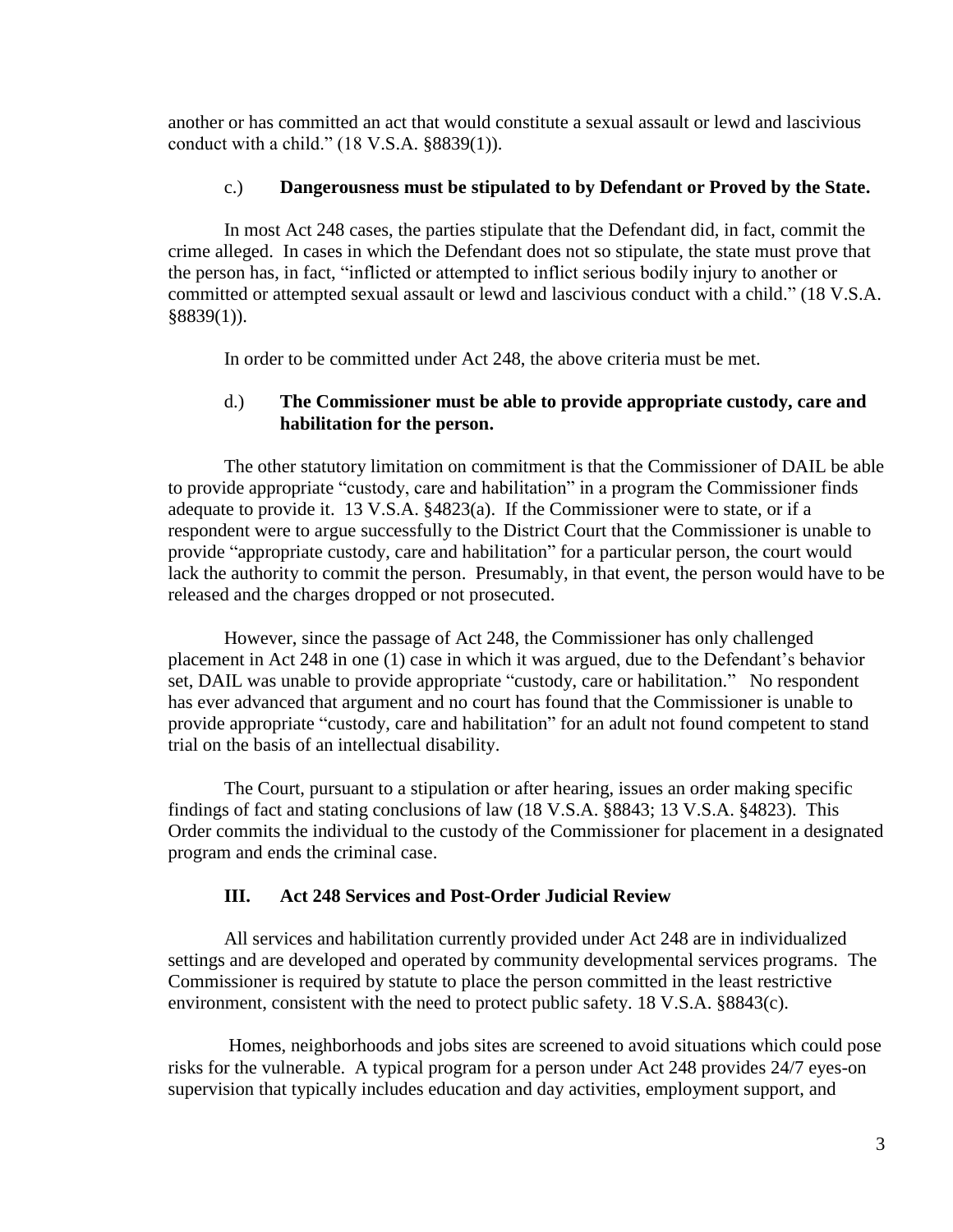another or has committed an act that would constitute a sexual assault or lewd and lascivious conduct with a child." (18 V.S.A. §8839(1)).

## c.) **Dangerousness must be stipulated to by Defendant or Proved by the State.**

In most Act 248 cases, the parties stipulate that the Defendant did, in fact, commit the crime alleged. In cases in which the Defendant does not so stipulate, the state must prove that the person has, in fact, "inflicted or attempted to inflict serious bodily injury to another or committed or attempted sexual assault or lewd and lascivious conduct with a child." (18 V.S.A. §8839(1)).

In order to be committed under Act 248, the above criteria must be met.

## d.) **The Commissioner must be able to provide appropriate custody, care and habilitation for the person.**

The other statutory limitation on commitment is that the Commissioner of DAIL be able to provide appropriate "custody, care and habilitation" in a program the Commissioner finds adequate to provide it. 13 V.S.A. §4823(a). If the Commissioner were to state, or if a respondent were to argue successfully to the District Court that the Commissioner is unable to provide "appropriate custody, care and habilitation" for a particular person, the court would lack the authority to commit the person. Presumably, in that event, the person would have to be released and the charges dropped or not prosecuted.

However, since the passage of Act 248, the Commissioner has only challenged placement in Act 248 in one (1) case in which it was argued, due to the Defendant's behavior set, DAIL was unable to provide appropriate "custody, care or habilitation." No respondent has ever advanced that argument and no court has found that the Commissioner is unable to provide appropriate "custody, care and habilitation" for an adult not found competent to stand trial on the basis of an intellectual disability.

The Court, pursuant to a stipulation or after hearing, issues an order making specific findings of fact and stating conclusions of law (18 V.S.A. §8843; 13 V.S.A. §4823). This Order commits the individual to the custody of the Commissioner for placement in a designated program and ends the criminal case.

# **III. Act 248 Services and Post-Order Judicial Review**

All services and habilitation currently provided under Act 248 are in individualized settings and are developed and operated by community developmental services programs. The Commissioner is required by statute to place the person committed in the least restrictive environment, consistent with the need to protect public safety. 18 V.S.A. §8843(c).

Homes, neighborhoods and jobs sites are screened to avoid situations which could pose risks for the vulnerable. A typical program for a person under Act 248 provides 24/7 eyes-on supervision that typically includes education and day activities, employment support, and